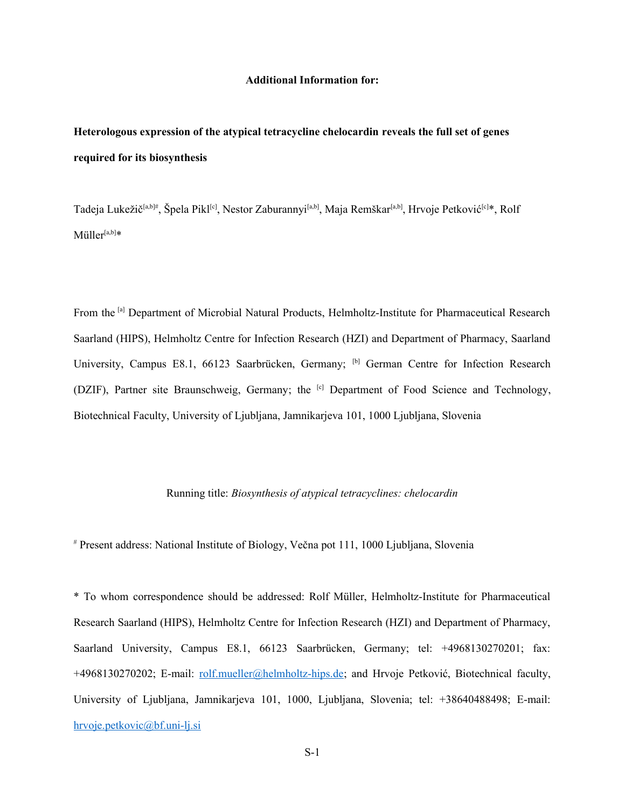#### **Additional Information for:**

# **Heterologous expression of the atypical tetracycline chelocardin reveals the full set of genes required for its biosynthesis**

Tadeja Lukežič<sup>[a,b]#</sup>, Špela Pikl<sup>[c]</sup>, Nestor Zaburannyi<sup>[a,b]</sup>, Maja Remškar<sup>[a,b]</sup>, Hrvoje Petković<sup>[c]\*</sup>, Rolf  $M$ üller $[a,b]*$ 

From the <sup>[a]</sup> Department of Microbial Natural Products, Helmholtz-Institute for Pharmaceutical Research Saarland (HIPS), Helmholtz Centre for Infection Research (HZI) and Department of Pharmacy, Saarland University, Campus E8.1, 66123 Saarbrücken, Germany; <sup>[b]</sup> German Centre for Infection Research (DZIF), Partner site Braunschweig, Germany; the <sup>[c]</sup> Department of Food Science and Technology, Biotechnical Faculty, University of Ljubljana, Jamnikarjeva 101, 1000 Ljubljana, Slovenia

### Running title: *Biosynthesis of atypical tetracyclines: chelocardin*

# Present address: National Institute of Biology, Večna pot 111, 1000 Ljubljana, Slovenia

\* To whom correspondence should be addressed: Rolf Müller, Helmholtz-Institute for Pharmaceutical Research Saarland (HIPS), Helmholtz Centre for Infection Research (HZI) and Department of Pharmacy, Saarland University, Campus E8.1, 66123 Saarbrücken, Germany; tel: +4968130270201; fax: +4968130270202; E-mail: [rolf.mueller@helmholtz-hips.de;](mailto:rolf.mueller@helmholtz-hips.de) and Hrvoje Petković, Biotechnical faculty, University of Ljubljana, Jamnikarjeva 101, 1000, Ljubljana, Slovenia; tel: +38640488498; E-mail: [hrvoje.petkovic@bf.uni-lj.si](mailto:hrvoje.petkovic@bf.uni-lj.si)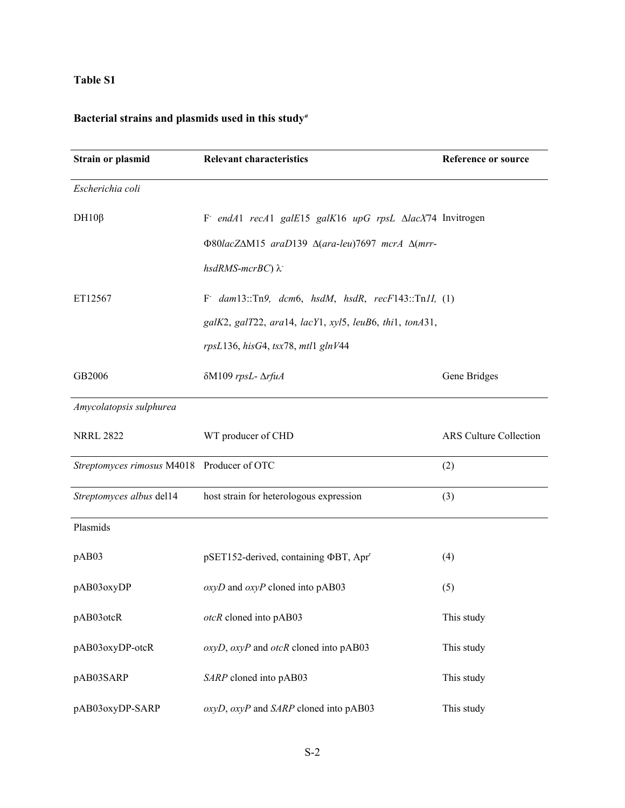### **Table S1**

# **Bacterial strains and plasmids used in this study***<sup>a</sup>*

| <b>Strain or plasmid</b>                   | <b>Relevant characteristics</b>                         | <b>Reference or source</b> |
|--------------------------------------------|---------------------------------------------------------|----------------------------|
| Escherichia coli                           |                                                         |                            |
| $DH10\beta$                                | F endA1 recA1 galE15 galK16 upG rpsL AlacX74 Invitrogen |                            |
|                                            | Φ80lacZΔM15 araD139 Δ(ara-leu)7697 mcrA Δ(mrr-          |                            |
|                                            | hsdRMS-mcrBC) λ                                         |                            |
| ET12567                                    | F dam13::Tn9, dcm6, hsdM, hsdR, $recF143::TnII, (1)$    |                            |
|                                            | galK2, galT22, ara14, lacY1, xyl5, leuB6, thi1, tonA31, |                            |
|                                            | rpsL136, hisG4, tsx78, mtl1 glnV44                      |                            |
| GB2006                                     | δM109 rpsL- ΔrfuA                                       | Gene Bridges               |
| Amycolatopsis sulphurea                    |                                                         |                            |
| <b>NRRL 2822</b>                           | WT producer of CHD                                      | ARS Culture Collection     |
| Streptomyces rimosus M4018 Producer of OTC |                                                         | (2)                        |
| Streptomyces albus del14                   | host strain for heterologous expression                 | (3)                        |
| Plasmids                                   |                                                         |                            |
| pAB03                                      | pSET152-derived, containing ΦBT, Apr <sup>r</sup>       | (4)                        |
| pAB03oxyDP                                 | $oxyD$ and $oxyP$ cloned into pAB03                     | (5)                        |
| pAB03otcR                                  | otcR cloned into pAB03                                  | This study                 |
| pAB03oxyDP-otcR                            | $oxyD$ , $oxyP$ and $otcR$ cloned into pAB03            | This study                 |
| pAB03SARP                                  | SARP cloned into pAB03                                  | This study                 |
| pAB03oxyDP-SARP                            | oxyD, oxyP and SARP cloned into pAB03                   | This study                 |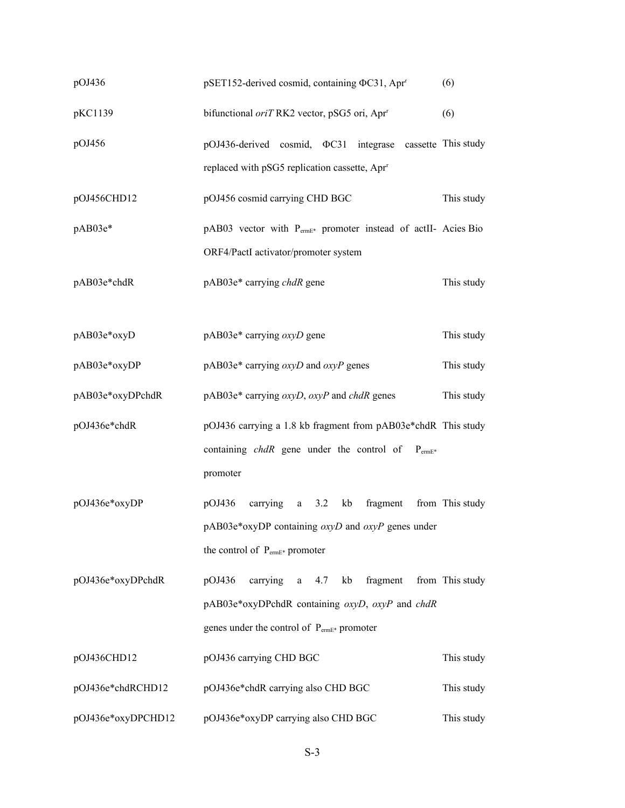| pOJ436             | (6)<br>pSET152-derived cosmid, containing ΦC31, Apr <sup>r</sup>                                                             |                 |  |  |  |
|--------------------|------------------------------------------------------------------------------------------------------------------------------|-----------------|--|--|--|
| pKC1139            | bifunctional oriTRK2 vector, pSG5 ori, Apr <sup>r</sup>                                                                      | (6)             |  |  |  |
| pOJ456             | pOJ436-derived cosmid, $\Phi$ C31 integrase cassette This study<br>replaced with pSG5 replication cassette, Apr <sup>r</sup> |                 |  |  |  |
|                    |                                                                                                                              |                 |  |  |  |
| pOJ456CHD12        | pOJ456 cosmid carrying CHD BGC                                                                                               | This study      |  |  |  |
| pAB03e*            | pAB03 vector with PermE* promoter instead of actII- Acies Bio                                                                |                 |  |  |  |
|                    | ORF4/PactI activator/promoter system                                                                                         |                 |  |  |  |
| pAB03e*chdR        | pAB03e* carrying chdR gene                                                                                                   | This study      |  |  |  |
| pAB03e*oxyD        | pAB03e* carrying oxyD gene                                                                                                   | This study      |  |  |  |
| pAB03e*oxyDP       | $pAB03e^*$ carrying $oxyD$ and $oxyP$ genes                                                                                  | This study      |  |  |  |
| pAB03e*oxyDPchdR   | $pAB03e^*$ carrying $oxyD$ , $oxyP$ and chdR genes                                                                           | This study      |  |  |  |
| pOJ436e*chdR       | pOJ436 carrying a 1.8 kb fragment from pAB03e*chdR This study                                                                |                 |  |  |  |
|                    | containing chdR gene under the control of<br>$P_{\text{ermE*}}$<br>promoter                                                  |                 |  |  |  |
| pOJ436e*oxyDP      | pOJ436<br>carrying a<br>3.2<br>kb<br>fragment                                                                                | from This study |  |  |  |
|                    | pAB03e*oxyDP containing oxyD and oxyP genes under                                                                            |                 |  |  |  |
|                    | the control of P <sub>ermE*</sub> promoter                                                                                   |                 |  |  |  |
| pOJ436e*oxyDPchdR  | fragment<br>pOJ436<br>carrying a<br>kb<br>4.7                                                                                | from This study |  |  |  |
|                    | pAB03e*oxyDPchdR containing oxyD, oxyP and chdR                                                                              |                 |  |  |  |
|                    | genes under the control of P <sub>ermE*</sub> promoter                                                                       |                 |  |  |  |
| pOJ436CHD12        | pOJ436 carrying CHD BGC                                                                                                      | This study      |  |  |  |
| pOJ436e*chdRCHD12  | pOJ436e*chdR carrying also CHD BGC                                                                                           | This study      |  |  |  |
| pOJ436e*oxyDPCHD12 | pOJ436e*oxyDP carrying also CHD BGC                                                                                          |                 |  |  |  |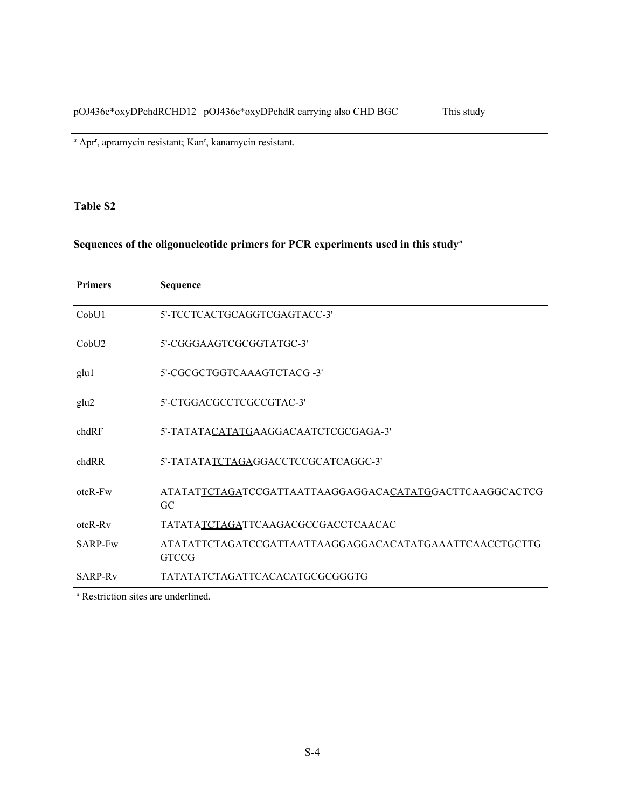<sup>a</sup> Apr<sup>r</sup>, apramycin resistant; Kan<sup>r</sup>, kanamycin resistant.

### **Table S2**

# **Sequences of the oligonucleotide primers for PCR experiments used in this study***<sup>a</sup>*

| <b>Primers</b>      | Sequence                                                                |
|---------------------|-------------------------------------------------------------------------|
| CobU1               | 5'-TCCTCACTGCAGGTCGAGTACC-3'                                            |
| CohU2               | 5'-CGGGAAGTCGCGGTATGC-3'                                                |
| glu1                | 5'-CGCGCTGGTCAAAGTCTACG -3'                                             |
| glu2                | 5'-CTGGACGCCTCGCCGTAC-3'                                                |
| chdRF               | 5'-TATATACATATGAAGGACAATCTCGCGAGA-3'                                    |
| chdRR               | 5'-TATATATCTAGAGGACCTCCGCATCAGGC-3'                                     |
| $otcR-Fw$           | ATATATTCTAGATCCGATTAATTAAGGAGGACACATATGGACTTCAAGGCACTCG<br>GC           |
| $otcR-Rv$           | TATATATCTAGATTCAAGACGCCGACCTCAACAC                                      |
| SARP-Fw             | ATATATTCTAGATCCGATTAATTAAGGAGGACACATATGAAATTCAACCTGCTTG<br><b>GTCCG</b> |
| SARP-R <sub>v</sub> | TATATATCTAGATTCACACATGCGCGGGTG                                          |

*a* Restriction sites are underlined.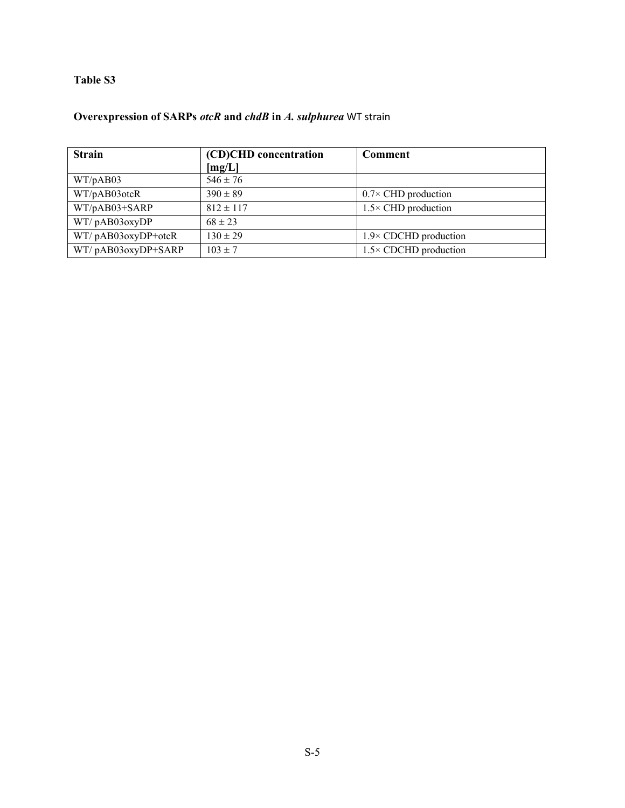### **Table S3**

# **Overexpression of SARPs** *otcR* **and** *chdB* **in** *A. sulphurea* WT strain

| <b>Strain</b>           | (CD)CHD concentration | <b>Comment</b>                |
|-------------------------|-----------------------|-------------------------------|
|                         | [mg/L]                |                               |
| WT/pAB03                | $546 \pm 76$          |                               |
| WT/pAB03otcR            | $390 \pm 89$          | $0.7 \times$ CHD production   |
| WT/pAB03+SARP           | $812 \pm 117$         | $1.5 \times$ CHD production   |
| WT/pAB03oxyDP           | $68 \pm 23$           |                               |
| $WT/ pAB03oxyDP + otcR$ | $130 \pm 29$          | $1.9 \times$ CDCHD production |
| WT/pAB03oxyDP+SARP      | $103 \pm 7$           | $1.5 \times$ CDCHD production |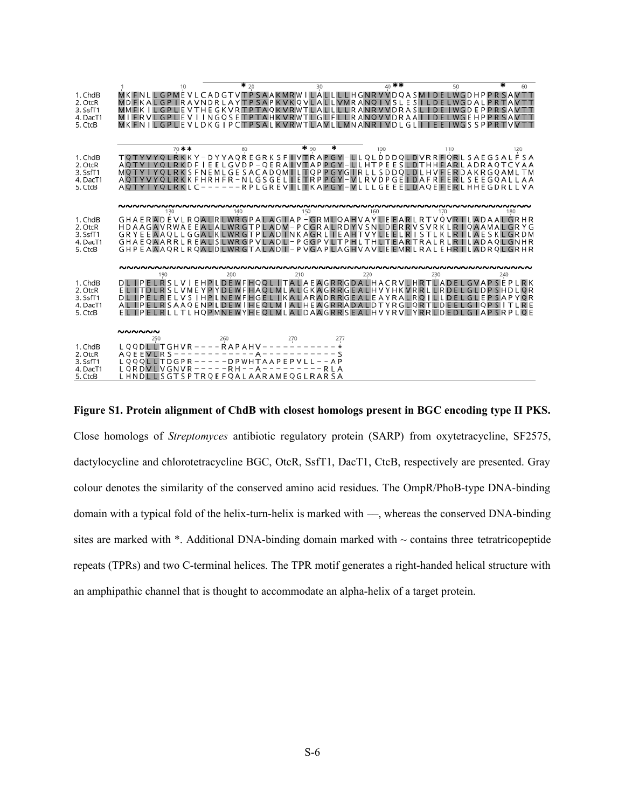|                                                       | 10                                                                                                                                                                                                                                                                                   | $*_{20}$                                                                                               | 30                              | 40 **                                               | 50<br>60                                                                             |
|-------------------------------------------------------|--------------------------------------------------------------------------------------------------------------------------------------------------------------------------------------------------------------------------------------------------------------------------------------|--------------------------------------------------------------------------------------------------------|---------------------------------|-----------------------------------------------------|--------------------------------------------------------------------------------------|
| 1. ChdB<br>2. OtcR<br>3. SsfT1<br>4. DacT1<br>5. CtcB | MKFNLLGPMEVLCADGTVTPSAAKMRWILALLLLHGNRVVDQASMIDELWGDHPPRSAVTT<br>MKFNILGPLEVLDKGIPCTPSALKVRWTLAVLLMNANRIVDLGLI                                                                                                                                                                       | <b>TRAVNDRLAYTPSAPKVKOVLALLVMRAN</b><br>GP LIE VTHE GK VRITP TA OK VRWTLALL<br><b>LEVIINGQSETP</b>     | <b>TAHKVRWTLGLFLLRANQVVDRA</b>  | <b>IVSLE</b><br>S<br>$\Omega$<br>LLRANRVVDRASL<br>А | <b>IWGDE</b><br><b>FIWGSSPPRTVV</b>                                                  |
|                                                       |                                                                                                                                                                                                                                                                                      |                                                                                                        |                                 |                                                     |                                                                                      |
| 1. ChdB<br>2. OtcR<br>3. SsfT1<br>4. DacT1<br>5. CtcB | 70 **<br>TQTYVYQLRKKY-DYYAQREGRKSFIVTRAPGY-LLQLDDDQLDVRRFQRLSAEGSALF<br>ΙE<br>AOTYI<br>YOLRKDF<br>S<br>MOT<br>ACTYVYQLRKKFHRHFR-NLGSGELIETRPPGY-VLRVDPGEIDAFRFERLSEEGQALLAA<br><b>AOTY I YOLRKLC</b>                                                                                 | 80<br>ELGVDP-QERAIVTAPPGY-LLHTPEESLDTHHFARLADRAQTC<br>FNEMLGESACADQMILTQPPGYGIRLLSDDQLDLHVFERDAKRGQAML | $*_{90}$                        | 100                                                 | 110<br>120<br>S A<br>YAA<br>ТM<br>------RPLGREVILLTKAPGY-VLLLGEEELDAOEFERLHHEGDRLLVA |
|                                                       |                                                                                                                                                                                                                                                                                      |                                                                                                        |                                 |                                                     |                                                                                      |
|                                                       | 130                                                                                                                                                                                                                                                                                  | 140                                                                                                    | 150                             | 160<br>170                                          | 180                                                                                  |
| 1. ChdB<br>2. OtcR<br>3. SsfT1<br>4. DacT1<br>5. CtcB | GHAERADEVLRQALRLWRGPALAGIAP-GRMLQAHVAYLEEARLRTVQVRILADAALGRHR<br>HDAAGAVRWAEEALAL<br>GRYEEAAOLLGGALKLWRGTPLADINKAGRLIEAHTVYLEELRISTLKLRILAESKLGRDM<br>GHAEQAARRLREALSLWRGPVLADL-PGGPVLTPHLTHLTEARTRALRLRILADAQLGNHR<br>GHPEAAAQRLRQALDLWRGTALADI-PVGAPLAGHVAVLEEMRLRALEHRILADRQLGRHR |                                                                                                        | WRGTPLADV-PCGRALRDYVSNLDERRVSVR |                                                     | <b>RIOAAMALGRYG</b>                                                                  |
|                                                       |                                                                                                                                                                                                                                                                                      |                                                                                                        |                                 |                                                     |                                                                                      |
| 1. ChdB<br>2. OtcR<br>3. SsfT1<br>4. DacT1<br>5. CtcB | DL IPELRSLVIEHPLDEWFHQQL ITALAEAGRRGDALHACRVLHRTLADEL<br>ELITDLRSLVMEYPYDEWFHAQLMLALGKAGRRGEALHVYHKVRRL<br>DLIPELRELVS   HPLNEWFHGEL   KALARADRRGEALEAYRALRQ   LLDELGLEPSAP<br>EL IPELRLLTLHOPMNEWYHEOLMLALDAAGRRSEALHVYRVLYRRLDEDLGIAP                                              | 200<br>ELRSAAQENPLDEWIHEQLMIALHEAGRRADALDTYRGLQRTLD                                                    | 210<br>220                      | 230                                                 | 240<br>GVAPSFP<br><b>RK</b><br><b>RDELGLDPSHD</b><br>GIOP<br>SRPLOE                  |
|                                                       |                                                                                                                                                                                                                                                                                      |                                                                                                        |                                 |                                                     |                                                                                      |
| 1. ChdB<br>2. OtcR<br>3. SsfT1<br>4. DacT1<br>5. CtcB | ៷៷៷៷៷៷<br>250<br>LQQDLLTGHVR----RAPAHV<br><b>AQEEVLRS</b><br>LQQQLLTDGPR-----DPWHTAAPEPVLL<br>$LQRDULVGNVR---RH--A-$<br>LHNDLLSGTSPTRQEFQALAARAMEQGLRARSA                                                                                                                            | 260<br>270<br>$\qquad \qquad -$                                                                        | 277<br>$- - A P$                |                                                     |                                                                                      |

**Figure S1. Protein alignment of ChdB with closest homologs present in BGC encoding type II PKS.** Close homologs of *Streptomyces* antibiotic regulatory protein (SARP) from oxytetracycline, SF2575, dactylocycline and chlorotetracycline BGC, OtcR, SsfT1, DacT1, CtcB, respectively are presented. Gray colour denotes the similarity of the conserved amino acid residues. The OmpR/PhoB-type DNA-binding domain with a typical fold of the helix-turn-helix is marked with —, whereas the conserved DNA-binding sites are marked with  $*$ . Additional DNA-binding domain marked with  $\sim$  contains three tetratricopeptide repeats (TPRs) and two C-terminal helices. The TPR motif generates a right-handed helical structure with an amphipathic channel that is thought to accommodate an alpha-helix of a target protein.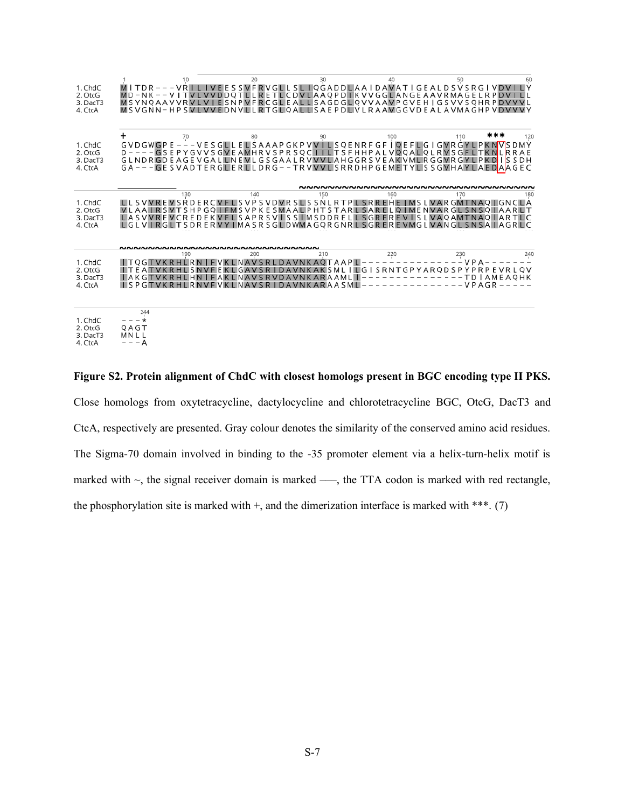| 1. ChdC<br>2. OtcG<br>3. DacT3<br>4. CtcA | 10<br>$MITDR---VR$<br>$MD - NK -$<br><b>MSYNOAAVVRV</b><br>$MSVGNN-HPSV$<br><b>VVEDNVIII</b>                                                                                                                                  | 20<br>SSVFRVGLLSLIQGADDLAAIDAVATIGEALDSVSRGI<br><b>VVDDQTLLRE</b>                    | 30<br>TLCDVLAAQPDIKVVGGLANGEAAVRMA                                  | 40                                     | 50<br>GEL<br>R P<br>D V<br>ESNPVFRCGLEALLSAGDGLQVVAAVPGVEH GSVVSQHRPDVV<br>RTGLOALLSAEPDLVLRAAVGGVDEALAVMAGHPVDVVVY | 60<br>LΥ                     |
|-------------------------------------------|-------------------------------------------------------------------------------------------------------------------------------------------------------------------------------------------------------------------------------|--------------------------------------------------------------------------------------|---------------------------------------------------------------------|----------------------------------------|---------------------------------------------------------------------------------------------------------------------|------------------------------|
|                                           |                                                                                                                                                                                                                               |                                                                                      |                                                                     |                                        |                                                                                                                     |                              |
| 1. ChdC<br>2. OtcG<br>3. DacT3<br>4. CtcA | 70<br>٠<br>GVDGWGPE - - - VESGLLELSAAAPGKPVV LLSQENRFGF IQEFLG I GVRGYLPKN<br>$D$ – – – – GSEPY GVVSGVEAMHRVSPRSQCT<br>GLNDR GDEAGEVGALLNEVLGSGAALRVVVLAHGGRSVEAKVMLRGGVRGYLPKD<br>GA---GESVADTERGLERLLDRG--TRVVVLSRRDHPGEMET | 80                                                                                   | 90                                                                  | 100<br><b>TLTSFHHPALVOQALQLRVSGFLT</b> | ***<br>110<br><b>IR</b><br>1ls<br>YLSSGVHAYLAEDAAGEC                                                                | 120<br>D M Y<br>A E<br>S D H |
|                                           |                                                                                                                                                                                                                               |                                                                                      |                                                                     |                                        |                                                                                                                     |                              |
| 1. ChdC<br>2. OtcG<br>3. DacT3<br>4. CtcA | 130<br>LLSVVREVSRDERCVFLSVPSVDVRSLSSNLRTPLSRREHEIMSLVARGMTNAQIGNCLA<br>VLAAIRSVTSHPGQIFMSVPKESMAALPHTSTARLSAR<br><b>LASVVREVCREDEKVE</b><br>LGLVIRGLTSDRERVYIMASRSGLDWMAGQRGNRLSGREREVMGLVANGLSNSAIAGRLC                      | 140                                                                                  |                                                                     |                                        | 170<br><b>ELOIMENVARGLSNSOIAAR</b><br>LSAPRSVISSIMSDDRELLSGREREVISLVAQAMTNAQIARTLC                                  | 180                          |
|                                           |                                                                                                                                                                                                                               |                                                                                      |                                                                     |                                        |                                                                                                                     |                              |
| 1. ChdC<br>2. OtcG<br>3. DacT3<br>4. CtcA | 190<br>$I$ T E<br>А<br>A K G<br>$\sqcup$ SPG<br>RNV                                                                                                                                                                           | 200<br><b>AVSRL</b><br>SRI<br>DAV<br><b>INAVSRVDAVNKARA</b><br>INA<br>$\zeta$ R<br>n | 210<br>$\Delta \cap$<br>TAAPIL<br>LG I<br>AML∥<br><b>VNKARAASML</b> | 220<br>SRN<br>YARQD                    | 230<br>S P<br>TD   AME A O H K<br>VPAGR                                                                             | 240                          |
|                                           |                                                                                                                                                                                                                               |                                                                                      |                                                                     |                                        |                                                                                                                     |                              |
| 1. ChdC<br>2. OtcG<br>3. DacT3<br>4. CtcA | 244<br>QAGT<br>MN L L<br>– – – A                                                                                                                                                                                              |                                                                                      |                                                                     |                                        |                                                                                                                     |                              |

**Figure S2. Protein alignment of ChdC with closest homologs present in BGC encoding type II PKS.** Close homologs from oxytetracycline, dactylocycline and chlorotetracycline BGC, OtcG, DacT3 and CtcA, respectively are presented. Gray colour denotes the similarity of the conserved amino acid residues. The Sigma-70 domain involved in binding to the -35 promoter element via a helix-turn-helix motif is marked with  $\sim$ , the signal receiver domain is marked  $\sim$ , the TTA codon is marked with red rectangle, the phosphorylation site is marked with  $+$ , and the dimerization interface is marked with \*\*\*. (7)